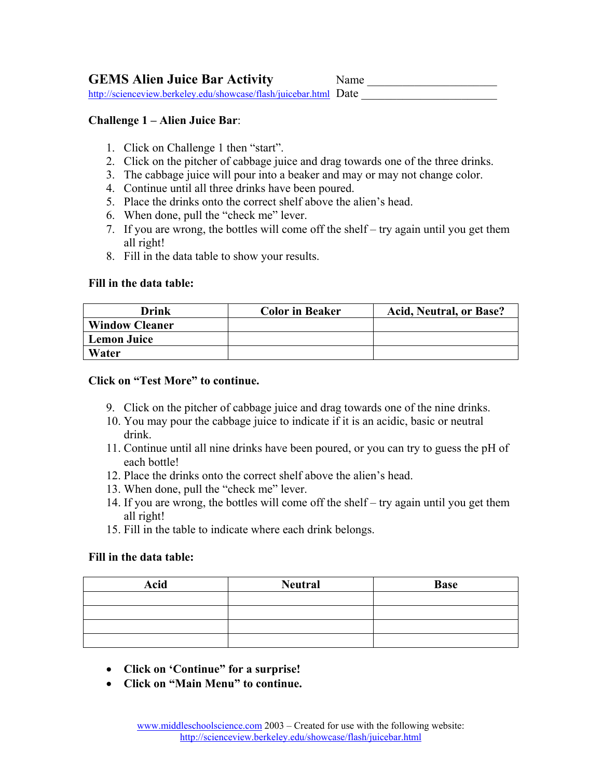**GEMS Alien Juice Bar Activity** Name \_\_\_\_\_\_\_\_\_\_\_\_\_\_\_\_\_\_\_\_\_\_

<http://scienceview.berkeley.edu/showcase/flash/juicebar.html>Date

## **Challenge 1 – Alien Juice Bar**:

- 1. Click on Challenge 1 then "start".
- 2. Click on the pitcher of cabbage juice and drag towards one of the three drinks.
- 3. The cabbage juice will pour into a beaker and may or may not change color.
- 4. Continue until all three drinks have been poured.
- 5. Place the drinks onto the correct shelf above the alien's head.
- 6. When done, pull the "check me" lever.
- 7. If you are wrong, the bottles will come off the shelf try again until you get them all right!
- 8. Fill in the data table to show your results.

## **Fill in the data table:**

| Drink                 | <b>Color in Beaker</b> | <b>Acid, Neutral, or Base?</b> |
|-----------------------|------------------------|--------------------------------|
| <b>Window Cleaner</b> |                        |                                |
| <b>Lemon Juice</b>    |                        |                                |
| Water                 |                        |                                |

## **Click on "Test More" to continue.**

- 9. Click on the pitcher of cabbage juice and drag towards one of the nine drinks.
- 10. You may pour the cabbage juice to indicate if it is an acidic, basic or neutral drink.
- 11. Continue until all nine drinks have been poured, or you can try to guess the pH of each bottle!
- 12. Place the drinks onto the correct shelf above the alien's head.
- 13. When done, pull the "check me" lever.
- 14. If you are wrong, the bottles will come off the shelf try again until you get them all right!
- 15. Fill in the table to indicate where each drink belongs.

## **Fill in the data table:**

| <b>Acid</b> | <b>Neutral</b> | <b>Base</b> |
|-------------|----------------|-------------|
|             |                |             |
|             |                |             |
|             |                |             |
|             |                |             |

- **Click on 'Continue" for a surprise!**
- **Click on "Main Menu" to continue.**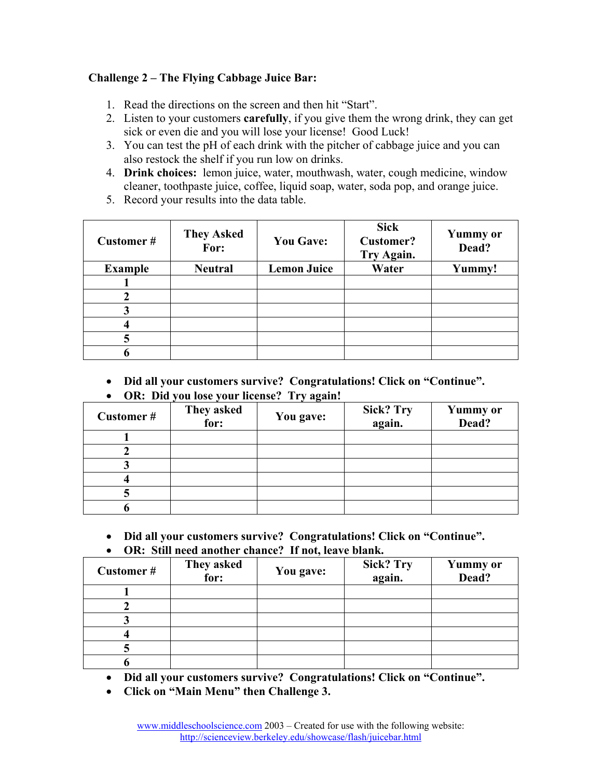# **Challenge 2 – The Flying Cabbage Juice Bar:**

- 1. Read the directions on the screen and then hit "Start".
- 2. Listen to your customers **carefully**, if you give them the wrong drink, they can get sick or even die and you will lose your license! Good Luck!
- 3. You can test the pH of each drink with the pitcher of cabbage juice and you can also restock the shelf if you run low on drinks.
- 4. **Drink choices:** lemon juice, water, mouthwash, water, cough medicine, window cleaner, toothpaste juice, coffee, liquid soap, water, soda pop, and orange juice.
- 5. Record your results into the data table.

| Customer#      | <b>They Asked</b><br>For: | <b>You Gave:</b>   | <b>Sick</b><br><b>Customer?</b><br>Try Again. | <b>Yummy</b> or<br>Dead? |
|----------------|---------------------------|--------------------|-----------------------------------------------|--------------------------|
| <b>Example</b> | <b>Neutral</b>            | <b>Lemon Juice</b> | Water                                         | Yummy!                   |
|                |                           |                    |                                               |                          |
|                |                           |                    |                                               |                          |
|                |                           |                    |                                               |                          |
|                |                           |                    |                                               |                          |
|                |                           |                    |                                               |                          |
|                |                           |                    |                                               |                          |

• **Did all your customers survive? Congratulations! Click on "Continue".** 

| <b>Customer#</b> | They asked<br>for: | ∵.<br>You gave: | <b>Sick? Try</b><br>again. | <b>Yummy</b> or<br>Dead? |
|------------------|--------------------|-----------------|----------------------------|--------------------------|
|                  |                    |                 |                            |                          |
|                  |                    |                 |                            |                          |
|                  |                    |                 |                            |                          |
|                  |                    |                 |                            |                          |
|                  |                    |                 |                            |                          |
|                  |                    |                 |                            |                          |

• **OR: Did you lose your license? Try again!**

• **Did all your customers survive? Congratulations! Click on "Continue".**  • **OR: Still need another chance? If not, leave blank.** 

| <b>Customer#</b> | They asked<br>for: | You gave: | <b>Sick? Try</b><br>again. | <b>Yummy</b> or<br>Dead? |
|------------------|--------------------|-----------|----------------------------|--------------------------|
|                  |                    |           |                            |                          |
|                  |                    |           |                            |                          |
|                  |                    |           |                            |                          |
|                  |                    |           |                            |                          |
|                  |                    |           |                            |                          |
|                  |                    |           |                            |                          |

• **Did all your customers survive? Congratulations! Click on "Continue".**

• **Click on "Main Menu" then Challenge 3.**